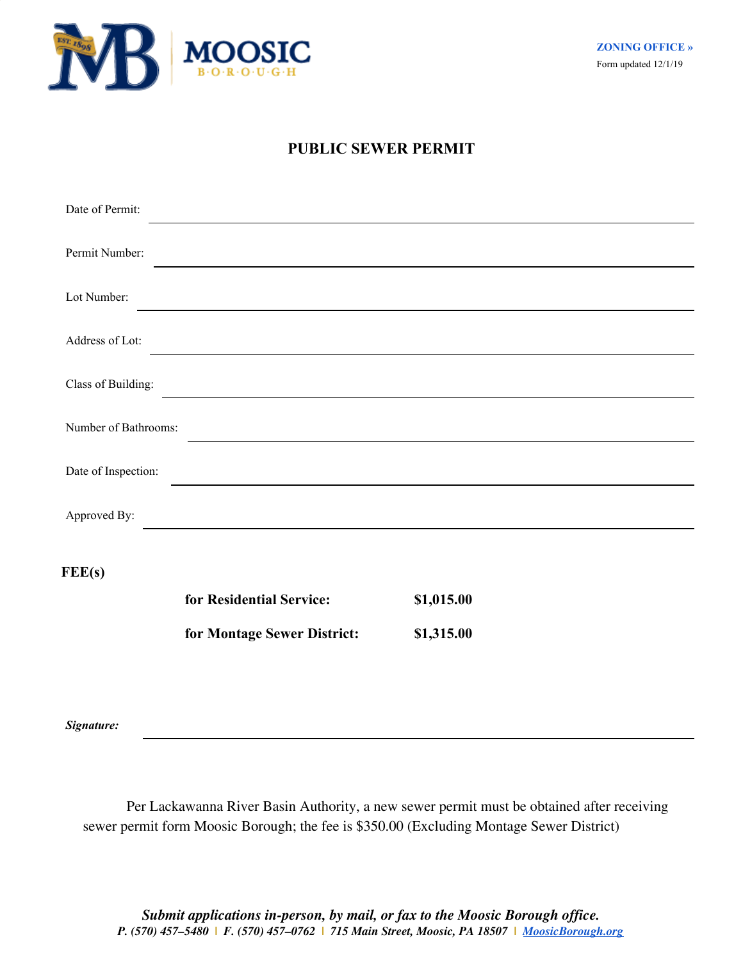

## **PUBLIC SEWER PERMIT**

| Date of Permit:      |                             |            |
|----------------------|-----------------------------|------------|
| Permit Number:       |                             |            |
| Lot Number:          |                             |            |
| Address of Lot:      |                             |            |
| Class of Building:   |                             |            |
| Number of Bathrooms: |                             |            |
| Date of Inspection:  |                             |            |
| Approved By:         |                             |            |
| FEE(s)               |                             |            |
|                      | for Residential Service:    | \$1,015.00 |
|                      | for Montage Sewer District: | \$1,315.00 |

*Signature:*

Per Lackawanna River Basin Authority, a new sewer permit must be obtained after receiving sewer permit form Moosic Borough; the fee is \$350.00 (Excluding Montage Sewer District)

*Submit applications in-person, by mail, or fax to the Moosic Borough office. P. (570) 457–5480 | F. (570) 457–0762 | 715 Main Street, Moosic, PA 18507 | [MoosicBorough.org](http://moosicborough.com/)*